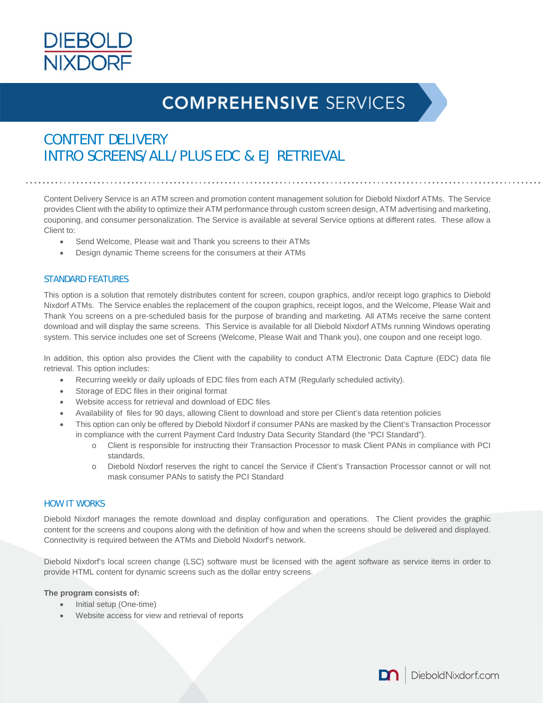

# **COMPREHENSIVE SERVICES**

## CONTENT DELIVERY INTRO SCREENS/ALL/PLUS EDC & EJ RETRIEVAL

Content Delivery Service is an ATM screen and promotion content management solution for Diebold Nixdorf ATMs. The Service provides Client with the ability to optimize their ATM performance through custom screen design, ATM advertising and marketing, couponing, and consumer personalization. The Service is available at several Service options at different rates. These allow a Client to:

- Send Welcome, Please wait and Thank you screens to their ATMs
- Design dynamic Theme screens for the consumers at their ATMs

#### STANDARD FEATURES

This option is a solution that remotely distributes content for screen, coupon graphics, and/or receipt logo graphics to Diebold Nixdorf ATMs. The Service enables the replacement of the coupon graphics, receipt logos, and the Welcome, Please Wait and Thank You screens on a pre-scheduled basis for the purpose of branding and marketing*.* All ATMs receive the same content download and will display the same screens. This Service is available for all Diebold Nixdorf ATMs running Windows operating system. This service includes one set of Screens (Welcome, Please Wait and Thank you), one coupon and one receipt logo.

In addition, this option also provides the Client with the capability to conduct ATM Electronic Data Capture (EDC) data file retrieval. This option includes:

- Recurring weekly or daily uploads of EDC files from each ATM (Regularly scheduled activity).
- Storage of EDC files in their original format
- Website access for retrieval and download of EDC files
- Availability of files for 90 days, allowing Client to download and store per Client's data retention policies
- This option can only be offered by Diebold Nixdorf if consumer PANs are masked by the Client's Transaction Processor in compliance with the current Payment Card Industry Data Security Standard (the "PCI Standard").
	- o Client is responsible for instructing their Transaction Processor to mask Client PANs in compliance with PCI standards.
	- o Diebold Nixdorf reserves the right to cancel the Service if Client's Transaction Processor cannot or will not mask consumer PANs to satisfy the PCI Standard

#### HOW IT WORKS

Diebold Nixdorf manages the remote download and display configuration and operations. The Client provides the graphic content for the screens and coupons along with the definition of how and when the screens should be delivered and displayed. Connectivity is required between the ATMs and Diebold Nixdorf's network.

Diebold Nixdorf's local screen change (LSC) software must be licensed with the agent software as service items in order to provide HTML content for dynamic screens such as the dollar entry screens.

#### **The program consists of:**

- Initial setup (One-time)
- Website access for view and retrieval of reports

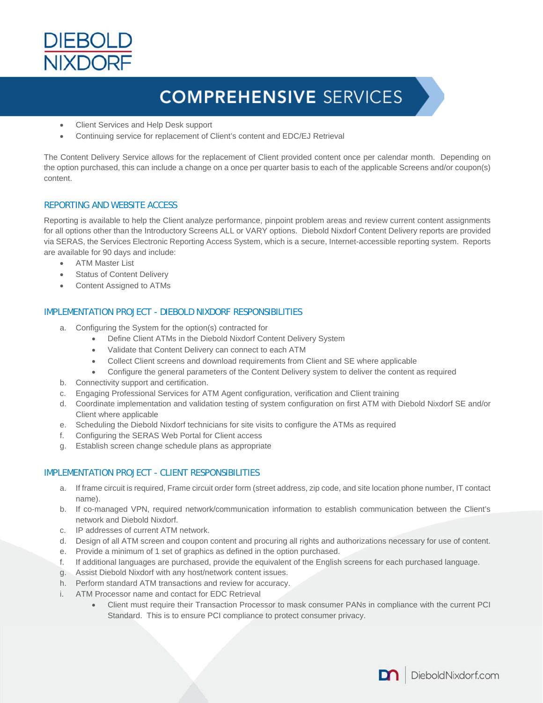

# **COMPREHENSIVE SERVICES**

- Client Services and Help Desk support
- Continuing service for replacement of Client's content and EDC/EJ Retrieval

The Content Delivery Service allows for the replacement of Client provided content once per calendar month. Depending on the option purchased, this can include a change on a once per quarter basis to each of the applicable Screens and/or coupon(s) content.

### REPORTING AND WEBSITE ACCESS

Reporting is available to help the Client analyze performance, pinpoint problem areas and review current content assignments for all options other than the Introductory Screens ALL or VARY options. Diebold Nixdorf Content Delivery reports are provided via SERAS, the Services Electronic Reporting Access System, which is a secure, Internet-accessible reporting system. Reports are available for 90 days and include:

- ATM Master List
- Status of Content Delivery
- Content Assigned to ATMs

### IMPLEMENTATION PROJECT - DIEBOLD NIXDORF RESPONSIBILITIES

- a. Configuring the System for the option(s) contracted for
	- Define Client ATMs in the Diebold Nixdorf Content Delivery System
	- Validate that Content Delivery can connect to each ATM
	- Collect Client screens and download requirements from Client and SE where applicable
	- Configure the general parameters of the Content Delivery system to deliver the content as required
- b. Connectivity support and certification.
- c. Engaging Professional Services for ATM Agent configuration, verification and Client training
- d. Coordinate implementation and validation testing of system configuration on first ATM with Diebold Nixdorf SE and/or Client where applicable
- e. Scheduling the Diebold Nixdorf technicians for site visits to configure the ATMs as required
- f. Configuring the SERAS Web Portal for Client access
- g. Establish screen change schedule plans as appropriate

### IMPLEMENTATION PROJECT - CLIENT RESPONSIBILITIES

- a. If frame circuit is required, Frame circuit order form (street address, zip code, and site location phone number, IT contact name).
- b. If co-managed VPN, required network/communication information to establish communication between the Client's network and Diebold Nixdorf.
- c. IP addresses of current ATM network.
- d. Design of all ATM screen and coupon content and procuring all rights and authorizations necessary for use of content.
- e. Provide a minimum of 1 set of graphics as defined in the option purchased.
- f. If additional languages are purchased, provide the equivalent of the English screens for each purchased language.
- g. Assist Diebold Nixdorf with any host/network content issues.
- h. Perform standard ATM transactions and review for accuracy.
- i. ATM Processor name and contact for EDC Retrieval
	- Client must require their Transaction Processor to mask consumer PANs in compliance with the current PCI Standard. This is to ensure PCI compliance to protect consumer privacy.